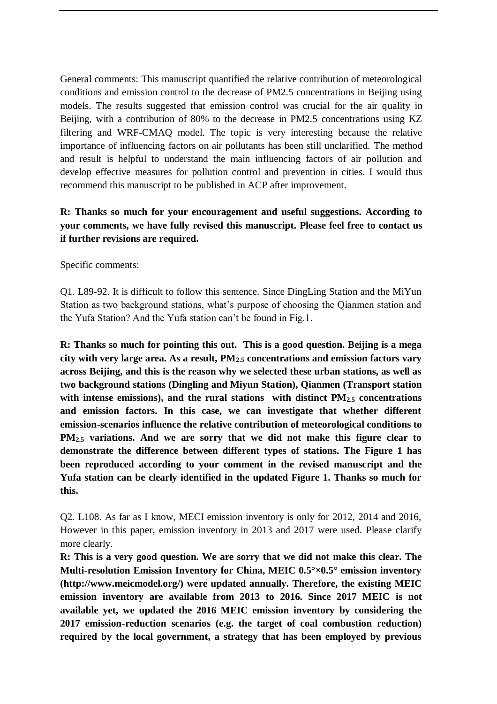General comments: This manuscript quantified the relative contribution of meteorological conditions and emission control to the decrease of PM2.5 concentrations in Beijing using models. The results suggested that emission control was crucial for the air quality in Beijing, with a contribution of 80% to the decrease in PM2.5 concentrations using KZ filtering and WRF-CMAQ model. The topic is very interesting because the relative importance of influencing factors on air pollutants has been still unclarified. The method and result is helpful to understand the main influencing factors of air pollution and develop effective measures for pollution control and prevention in cities. I would thus recommend this manuscript to be published in ACP after improvement.

## **R: Thanks so much for your encouragement and useful suggestions. According to your comments, we have fully revised this manuscript. Please feel free to contact us if further revisions are required.**

Specific comments:

Q1. L89-92. It is difficult to follow this sentence. Since DingLing Station and the MiYun Station as two background stations, what's purpose of choosing the Qianmen station and the Yufa Station? And the Yufa station can't be found in Fig.1.

**R: Thanks so much for pointing this out. This is a good question. Beijing is a mega city with very large area. As a result, PM2.5 concentrations and emission factors vary across Beijing, and this is the reason why we selected these urban stations, as well as two background stations (Dingling and Miyun Station), Qianmen (Transport station with intense emissions), and the rural stations with distinct PM2.5 concentrations and emission factors. In this case, we can investigate that whether different emission-scenarios influence the relative contribution of meteorological conditions to PM2.5 variations. And we are sorry that we did not make this figure clear to demonstrate the difference between different types of stations. The Figure 1 has been reproduced according to your comment in the revised manuscript and the Yufa station can be clearly identified in the updated Figure 1. Thanks so much for this.** 

Q2. L108. As far as I know, MECI emission inventory is only for 2012, 2014 and 2016, However in this paper, emission inventory in 2013 and 2017 were used. Please clarify more clearly.

**R: This is a very good question. We are sorry that we did not make this clear. The Multi-resolution Emission Inventory for China, MEIC 0.5°×0.5° emission inventory (http://www.meicmodel.org/) were updated annually. Therefore, the existing MEIC emission inventory are available from 2013 to 2016. Since 2017 MEIC is not available yet, we updated the 2016 MEIC emission inventory by considering the 2017 emission-reduction scenarios (e.g. the target of coal combustion reduction) required by the local government, a strategy that has been employed by previous**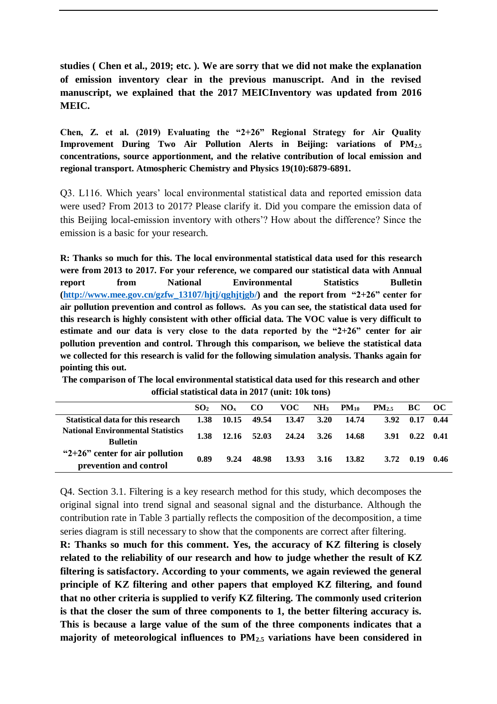**studies ( Chen et al., 2019; etc. ). We are sorry that we did not make the explanation of emission inventory clear in the previous manuscript. And in the revised manuscript, we explained that the 2017 MEICInventory was updated from 2016 MEIC.**

**Chen, Z. et al. (2019) Evaluating the "2+26" Regional Strategy for Air Quality Improvement During Two Air Pollution Alerts in Beijing: variations of PM2.5 concentrations, source apportionment, and the relative contribution of local emission and regional transport. Atmospheric Chemistry and Physics 19(10):6879-6891.** 

Q3. L116. Which years' local environmental statistical data and reported emission data were used? From 2013 to 2017? Please clarify it. Did you compare the emission data of this Beijing local-emission inventory with others'? How about the difference? Since the emission is a basic for your research.

**R: Thanks so much for this. The local environmental statistical data used for this research were from 2013 to 2017. For your reference, we compared our statistical data with Annual report from National Environmental Statistics Bulletin [\(http://www.mee.gov.cn/gzfw\\_13107/hjtj/qghjtjgb/\)](http://www.mee.gov.cn/gzfw_13107/hjtj/qghjtjgb/) and the report from "2+26" center for air pollution prevention and control as follows. As you can see, the statistical data used for this research is highly consistent with other official data. The VOC value is very difficult to estimate and our data is very close to the data reported by the "2+26" center for air pollution prevention and control. Through this comparison, we believe the statistical data we collected for this research is valid for the following simulation analysis. Thanks again for pointing this out.** 

**The comparison of The local environmental statistical data used for this research and other official statistical data in 2017 (unit: 10k tons)** 

|                                                               | SO <sub>2</sub> | $NO_{v}$   | CO.         | VOC   | NH <sub>3</sub> | $PM_{10}$  | $PM_{2.5}$ | BC - | - OC |
|---------------------------------------------------------------|-----------------|------------|-------------|-------|-----------------|------------|------------|------|------|
| Statistical data for this research                            |                 | 1.38 10.15 | 49.54       | 13.47 | 3.20            | 14.74      | 3.92       | 0.17 | 0.44 |
| <b>National Environmental Statistics</b><br><b>Bulletin</b>   | 1.38            |            | 12.16 52.03 | 24.24 |                 | 3.26 14.68 | 3.91       | 0.22 | 0.41 |
| " $2+26$ " center for air pollution<br>prevention and control | 0.89            | 9.24       | 48.98       | 13.93 | 3.16            | 13.82      | 3.72       | 0.19 | 0.46 |

Q4. Section 3.1. Filtering is a key research method for this study, which decomposes the original signal into trend signal and seasonal signal and the disturbance. Although the contribution rate in Table 3 partially reflects the composition of the decomposition, a time series diagram is still necessary to show that the components are correct after filtering.

**R: Thanks so much for this comment. Yes, the accuracy of KZ filtering is closely related to the reliability of our research and how to judge whether the result of KZ filtering is satisfactory. According to your comments, we again reviewed the general principle of KZ filtering and other papers that employed KZ filtering, and found that no other criteria is supplied to verify KZ filtering. The commonly used criterion is that the closer the sum of three components to 1, the better filtering accuracy is. This is because a large value of the sum of the three components indicates that a majority of meteorological influences to PM2.5 variations have been considered in**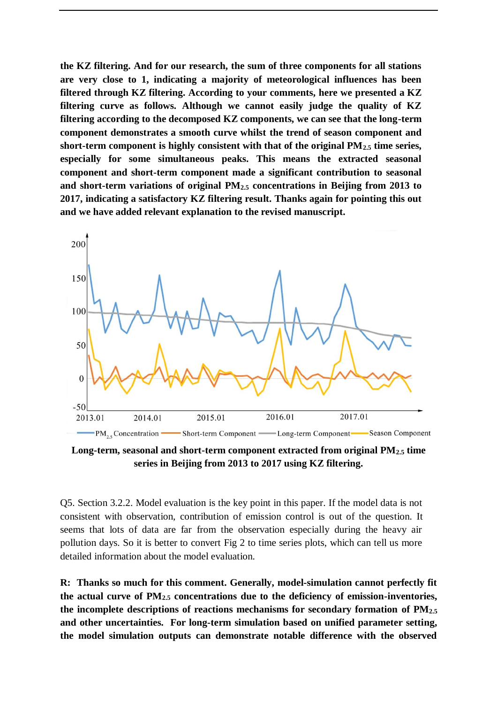**the KZ filtering. And for our research, the sum of three components for all stations are very close to 1, indicating a majority of meteorological influences has been filtered through KZ filtering. According to your comments, here we presented a KZ filtering curve as follows. Although we cannot easily judge the quality of KZ filtering according to the decomposed KZ components, we can see that the long-term component demonstrates a smooth curve whilst the trend of season component and short-term component is highly consistent with that of the original PM2.5 time series, especially for some simultaneous peaks. This means the extracted seasonal component and short-term component made a significant contribution to seasonal and short-term variations of original PM2.5 concentrations in Beijing from 2013 to 2017, indicating a satisfactory KZ filtering result. Thanks again for pointing this out and we have added relevant explanation to the revised manuscript.** 



**Long-term, seasonal and short-term component extracted from original PM2.5 time series in Beijing from 2013 to 2017 using KZ filtering.**

Q5. Section 3.2.2. Model evaluation is the key point in this paper. If the model data is not consistent with observation, contribution of emission control is out of the question. It seems that lots of data are far from the observation especially during the heavy air pollution days. So it is better to convert Fig 2 to time series plots, which can tell us more detailed information about the model evaluation.

**R: Thanks so much for this comment. Generally, model-simulation cannot perfectly fit the actual curve of PM2.5 concentrations due to the deficiency of emission-inventories, the incomplete descriptions of reactions mechanisms for secondary formation of PM2.5 and other uncertainties. For long-term simulation based on unified parameter setting, the model simulation outputs can demonstrate notable difference with the observed**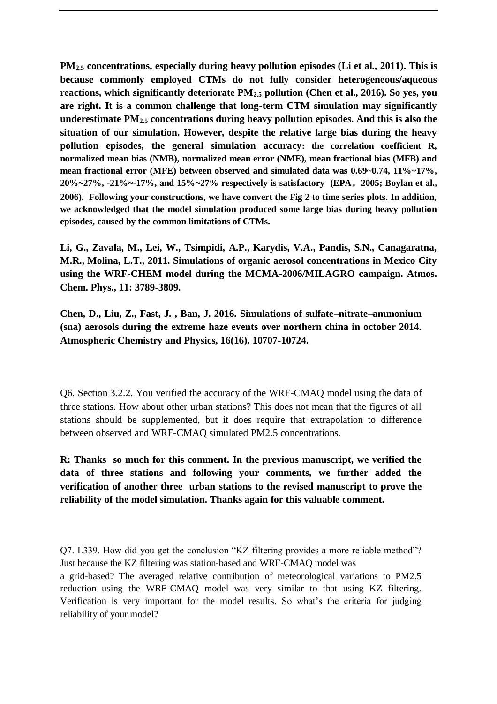**PM2.5 concentrations, especially during heavy pollution episodes (Li et al., 2011). This is because commonly employed CTMs do not fully consider heterogeneous/aqueous reactions, which significantly deteriorate PM2.5 pollution (Chen et al., 2016). So yes, you are right. It is a common challenge that long-term CTM simulation may significantly underestimate PM2.5 concentrations during heavy pollution episodes. And this is also the situation of our simulation. However, despite the relative large bias during the heavy pollution episodes, the general simulation accuracy: the correlation coefficient R, normalized mean bias (NMB), normalized mean error (NME), mean fractional bias (MFB) and mean fractional error (MFE) between observed and simulated data was 0.69~0.74, 11%~17%, 20%~27%, -21%~-17%, and 15%~27% respectively is satisfactory (EPA,2005; Boylan et al., 2006). Following your constructions, we have convert the Fig 2 to time series plots. In addition, we acknowledged that the model simulation produced some large bias during heavy pollution episodes, caused by the common limitations of CTMs.**

**Li, G., Zavala, M., Lei, W., Tsimpidi, A.P., Karydis, V.A., Pandis, S.N., Canagaratna, M.R., Molina, L.T., 2011. Simulations of organic aerosol concentrations in Mexico City using the WRF-CHEM model during the MCMA-2006/MILAGRO campaign. Atmos. Chem. Phys., 11: 3789-3809.**

**Chen, D., Liu, Z., Fast, J. , Ban, J. 2016. Simulations of sulfate–nitrate–ammonium (sna) aerosols during the extreme haze events over northern china in october 2014. Atmospheric Chemistry and Physics, 16(16), 10707-10724.**

Q6. Section 3.2.2. You verified the accuracy of the WRF-CMAQ model using the data of three stations. How about other urban stations? This does not mean that the figures of all stations should be supplemented, but it does require that extrapolation to difference between observed and WRF-CMAQ simulated PM2.5 concentrations.

**R: Thanks so much for this comment. In the previous manuscript, we verified the data of three stations and following your comments, we further added the verification of another three urban stations to the revised manuscript to prove the reliability of the model simulation. Thanks again for this valuable comment.** 

Q7. L339. How did you get the conclusion "KZ filtering provides a more reliable method"? Just because the KZ filtering was station-based and WRF-CMAQ model was

a grid-based? The averaged relative contribution of meteorological variations to PM2.5 reduction using the WRF-CMAQ model was very similar to that using KZ filtering. Verification is very important for the model results. So what's the criteria for judging reliability of your model?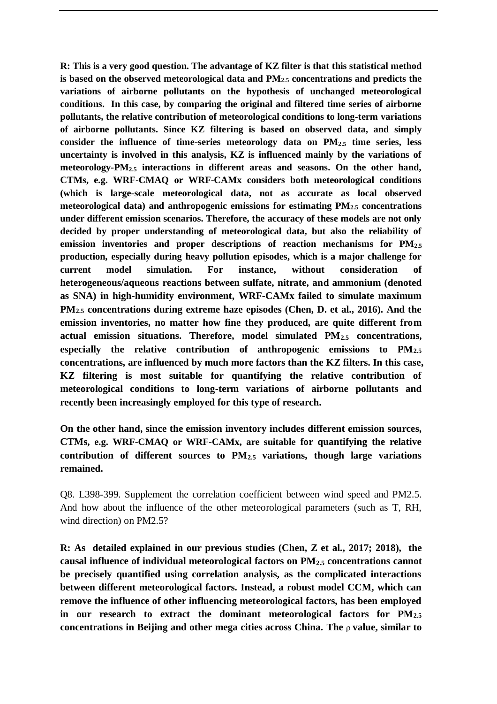**R: This is a very good question. The advantage of KZ filter is that this statistical method is based on the observed meteorological data and PM2.5 concentrations and predicts the variations of airborne pollutants on the hypothesis of unchanged meteorological conditions. In this case, by comparing the original and filtered time series of airborne pollutants, the relative contribution of meteorological conditions to long-term variations of airborne pollutants. Since KZ filtering is based on observed data, and simply consider the influence of time-series meteorology data on PM2.5 time series, less uncertainty is involved in this analysis, KZ is influenced mainly by the variations of meteorology-PM2.5 interactions in different areas and seasons. On the other hand, CTMs, e.g. WRF-CMAQ or WRF-CAMx considers both meteorological conditions (which is large-scale meteorological data, not as accurate as local observed meteorological data) and anthropogenic emissions for estimating PM2.5 concentrations under different emission scenarios. Therefore, the accuracy of these models are not only decided by proper understanding of meteorological data, but also the reliability of emission inventories and proper descriptions of reaction mechanisms for PM2.5 production, especially during heavy pollution episodes, which is a major challenge for current model simulation. For instance, without consideration of heterogeneous/aqueous reactions between sulfate, nitrate, and ammonium (denoted as SNA) in high-humidity environment, WRF-CAMx failed to simulate maximum PM2.5 concentrations during extreme haze episodes (Chen, D. et al., 2016). And the emission inventories, no matter how fine they produced, are quite different from actual emission situations. Therefore, model simulated PM2.5 concentrations, especially the relative contribution of anthropogenic emissions to PM2.5 concentrations, are influenced by much more factors than the KZ filters. In this case, KZ filtering is most suitable for quantifying the relative contribution of meteorological conditions to long-term variations of airborne pollutants and recently been increasingly employed for this type of research.** 

**On the other hand, since the emission inventory includes different emission sources, CTMs, e.g. WRF-CMAQ or WRF-CAMx, are suitable for quantifying the relative contribution of different sources to PM2.5 variations, though large variations remained.** 

Q8. L398-399. Supplement the correlation coefficient between wind speed and PM2.5. And how about the influence of the other meteorological parameters (such as T, RH, wind direction) on PM2.5?

**R: As detailed explained in our previous studies (Chen, Z et al., 2017; 2018), the causal influence of individual meteorological factors on PM2.5 concentrations cannot be precisely quantified using correlation analysis, as the complicated interactions between different meteorological factors. Instead, a robust model CCM, which can remove the influence of other influencing meteorological factors, has been employed in our research to extract the dominant meteorological factors for PM2.5 concentrations in Beijing and other mega cities across China. The** ρ **value, similar to**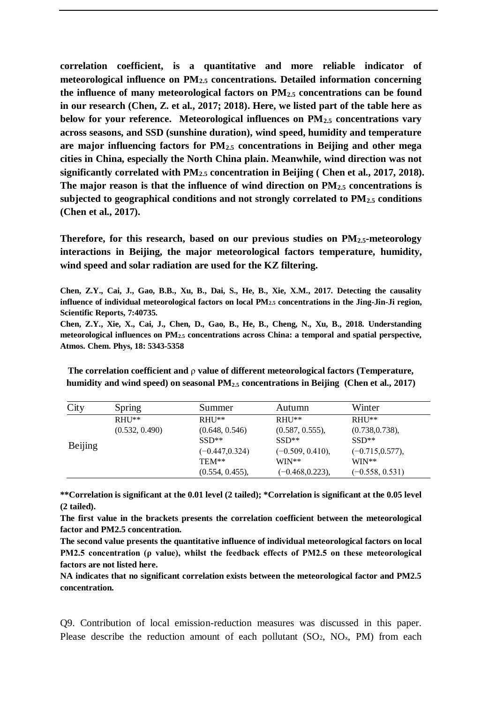**correlation coefficient, is a quantitative and more reliable indicator of meteorological influence on PM2.5 concentrations. Detailed information concerning the influence of many meteorological factors on PM2.5 concentrations can be found in our research (Chen, Z. et al., 2017; 2018). Here, we listed part of the table here as below for your reference. Meteorological influences on PM2.5 concentrations vary across seasons, and SSD (sunshine duration), wind speed, humidity and temperature are major influencing factors for PM2.5 concentrations in Beijing and other mega cities in China, especially the North China plain. Meanwhile, wind direction was not significantly correlated with PM2.5 concentration in Beijing ( Chen et al., 2017, 2018). The major reason is that the influence of wind direction on PM2.5 concentrations is subjected to geographical conditions and not strongly correlated to PM2.5 conditions (Chen et al., 2017).** 

**Therefore, for this research, based on our previous studies on PM2.5-meteorology interactions in Beijing, the major meteorological factors temperature, humidity, wind speed and solar radiation are used for the KZ filtering.** 

**Chen, Z.Y., Cai, J., Gao, B.B., Xu, B., Dai, S., He, B., Xie, X.M., 2017. Detecting the causality influence of individual meteorological factors on local PM2.5 concentrations in the Jing-Jin-Ji region, Scientific Reports, 7:40735.**

**Chen, Z.Y., Xie, X., Cai, J., Chen, D., Gao, B., He, B., Cheng, N., Xu, B., 2018. Understanding meteorological influences on PM2.5 concentrations across China: a temporal and spatial perspective, Atmos. Chem. Phys, 18: 5343-5358**

**The correlation coefficient and** ρ **value of different meteorological factors (Temperature, humidity and wind speed) on seasonal PM2.5 concentrations in Beijing (Chen et al., 2017)** 

| City    | Spring                     | Summer                                                                                 | Autumn                                                                                        | Winter                                                                                                  |
|---------|----------------------------|----------------------------------------------------------------------------------------|-----------------------------------------------------------------------------------------------|---------------------------------------------------------------------------------------------------------|
| Beijing | $RHHI**$<br>(0.532, 0.490) | $RHHI**$<br>(0.648, 0.546)<br>$SSD**$<br>$(-0.447, 0.324)$<br>TEM**<br>(0.554, 0.455), | $RHHI**$<br>(0.587, 0.555),<br>$SSD**$<br>$(-0.509, 0.410),$<br>$WIN**$<br>$(-0.468, 0.223),$ | $RHI$ <sup>**</sup><br>(0.738, 0.738),<br>$SSD**$<br>$(-0.715, 0.577),$<br>$WIN**$<br>$(-0.558, 0.531)$ |

**\*\*Correlation is significant at the 0.01 level (2 tailed); \*Correlation is significant at the 0.05 level (2 tailed).**

**The first value in the brackets presents the correlation coefficient between the meteorological factor and PM2.5 concentration.**

**The second value presents the quantitative influence of individual meteorological factors on local PM2.5 concentration (ρ value), whilst the feedback effects of PM2.5 on these meteorological factors are not listed here.**

**NA indicates that no significant correlation exists between the meteorological factor and PM2.5 concentration.**

Q9. Contribution of local emission-reduction measures was discussed in this paper. Please describe the reduction amount of each pollutant  $(SO_2, NO_x, PM)$  from each